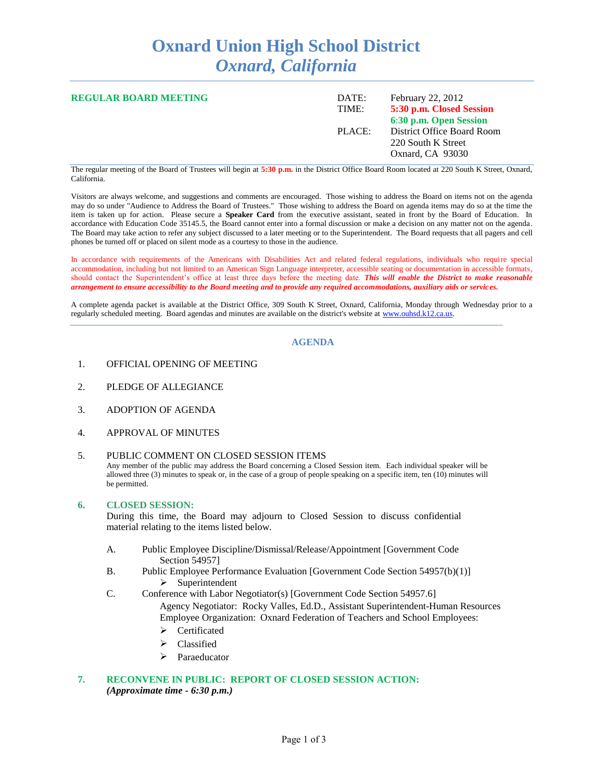# **Oxnard Union High School District** *Oxnard, California*

| <b>REGULAR BOARD MEETING</b> | DATE:<br>TIME: | February 22, 2012<br>5:30 p.m. Closed Session<br>6:30 p.m. Open Session |
|------------------------------|----------------|-------------------------------------------------------------------------|
|                              | PLACE:         | District Office Board Room<br>220 South K Street<br>Oxnard, CA 93030    |

The regular meeting of the Board of Trustees will begin at **5:30 p.m.** in the District Office Board Room located at 220 South K Street, Oxnard, California.

Visitors are always welcome, and suggestions and comments are encouraged. Those wishing to address the Board on items not on the agenda may do so under "Audience to Address the Board of Trustees." Those wishing to address the Board on agenda items may do so at the time the item is taken up for action. Please secure a **Speaker Card** from the executive assistant, seated in front by the Board of Education. In accordance with Education Code 35145.5, the Board cannot enter into a formal discussion or make a decision on any matter not on the agenda. The Board may take action to refer any subject discussed to a later meeting or to the Superintendent. The Board requests that all pagers and cell phones be turned off or placed on silent mode as a courtesy to those in the audience.

In accordance with requirements of the Americans with Disabilities Act and related federal regulations, individuals who require special accommodation, including but not limited to an American Sign Language interpreter, accessible seating or documentation in accessible formats, should contact the Superintendent's office at least three days before the meeting date. *This will enable the District to make reasonable arrangement to ensure accessibility to the Board meeting and to provide any required accommodations, auxiliary aids or services.*

A complete agenda packet is available at the District Office, 309 South K Street, Oxnard, California, Monday through Wednesday prior to a regularly scheduled meeting. Board agendas and minutes are available on the district's website at [www.ouhsd.k12.ca.us.](http://www.ouhsd.k12.ca.us/)

#### **AGENDA**

- 1. OFFICIAL OPENING OF MEETING
- 2. PLEDGE OF ALLEGIANCE
- 3. ADOPTION OF AGENDA
- 4. APPROVAL OF MINUTES

#### 5. PUBLIC COMMENT ON CLOSED SESSION ITEMS

Any member of the public may address the Board concerning a Closed Session item. Each individual speaker will be allowed three (3) minutes to speak or, in the case of a group of people speaking on a specific item, ten (10) minutes will be permitted.

#### **6. CLOSED SESSION:**

During this time, the Board may adjourn to Closed Session to discuss confidential material relating to the items listed below.

- A. Public Employee Discipline/Dismissal/Release/Appointment [Government Code Section 54957]
- B. Public Employee Performance Evaluation [Government Code Section 54957(b)(1)]  $\triangleright$  Superintendent
- C. Conference with Labor Negotiator(s) [Government Code Section 54957.6]

Agency Negotiator: Rocky Valles, Ed.D., Assistant Superintendent-Human Resources Employee Organization: Oxnard Federation of Teachers and School Employees:

- > Certificated
- > Classified
- > Paraeducator

## **7. RECONVENE IN PUBLIC: REPORT OF CLOSED SESSION ACTION:** *(Approximate time - 6:30 p.m.)*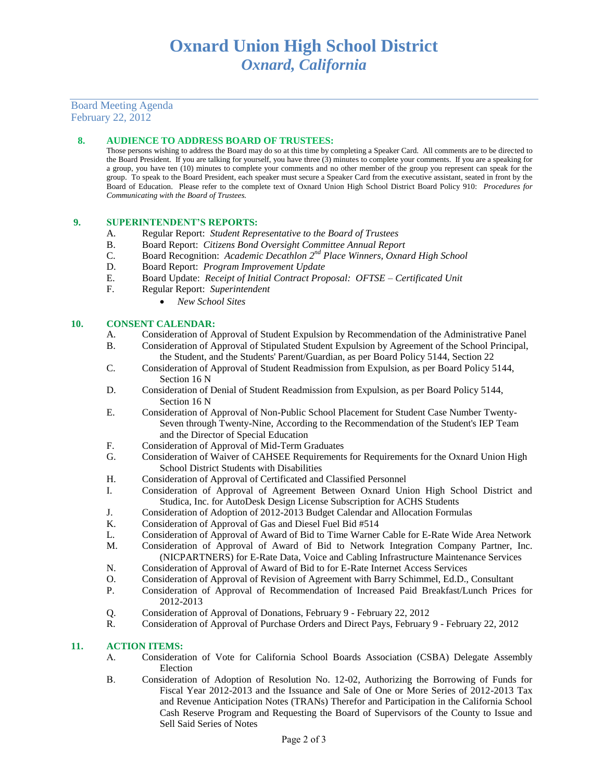## Board Meeting Agenda February 22, 2012

## **8. AUDIENCE TO ADDRESS BOARD OF TRUSTEES:**

Those persons wishing to address the Board may do so at this time by completing a Speaker Card. All comments are to be directed to the Board President. If you are talking for yourself, you have three (3) minutes to complete your comments. If you are a speaking for a group, you have ten (10) minutes to complete your comments and no other member of the group you represent can speak for the group. To speak to the Board President, each speaker must secure a Speaker Card from the executive assistant, seated in front by the Board of Education. Please refer to the complete text of Oxnard Union High School District Board Policy 910: *Procedures for Communicating with the Board of Trustees.*

#### **9. SUPERINTENDENT'S REPORTS:**

- A. Regular Report: *Student Representative to the Board of Trustees*
- B. Board Report: *Citizens Bond Oversight Committee Annual Report*
- C. Board Recognition: *Academic Decathlon 2<sup>nd</sup> Place Winners, Oxnard High School*
- D. Board Report: *Program Improvement Update*
- E. Board Update: *Receipt of Initial Contract Proposal: OFTSE – Certificated Unit*
- F. Regular Report: *Superintendent*
	- *New School Sites*

#### **10. CONSENT CALENDAR:**

- A. Consideration of Approval of Student Expulsion by Recommendation of the Administrative Panel
- B. Consideration of Approval of Stipulated Student Expulsion by Agreement of the School Principal, the Student, and the Students' Parent/Guardian, as per Board Policy 5144, Section 22
- C. Consideration of Approval of Student Readmission from Expulsion, as per Board Policy 5144, Section 16 N
- D. Consideration of Denial of Student Readmission from Expulsion, as per Board Policy 5144, Section 16 N
- E. Consideration of Approval of Non-Public School Placement for Student Case Number Twenty-Seven through Twenty-Nine, According to the Recommendation of the Student's IEP Team and the Director of Special Education
- F. Consideration of Approval of Mid-Term Graduates
- G. Consideration of Waiver of CAHSEE Requirements for Requirements for the Oxnard Union High School District Students with Disabilities
- H. Consideration of Approval of Certificated and Classified Personnel
- I. Consideration of Approval of Agreement Between Oxnard Union High School District and Studica, Inc. for AutoDesk Design License Subscription for ACHS Students
- J. Consideration of Adoption of 2012-2013 Budget Calendar and Allocation Formulas
- K. Consideration of Approval of Gas and Diesel Fuel Bid #514
- L. Consideration of Approval of Award of Bid to Time Warner Cable for E-Rate Wide Area Network
- M. Consideration of Approval of Award of Bid to Network Integration Company Partner, Inc. (NICPARTNERS) for E-Rate Data, Voice and Cabling Infrastructure Maintenance Services
- N. Consideration of Approval of Award of Bid to for E-Rate Internet Access Services
- O. Consideration of Approval of Revision of Agreement with Barry Schimmel, Ed.D., Consultant
- P. Consideration of Approval of Recommendation of Increased Paid Breakfast/Lunch Prices for 2012-2013
- Q. Consideration of Approval of Donations, February 9 February 22, 2012
- R. Consideration of Approval of Purchase Orders and Direct Pays, February 9 February 22, 2012

## **11. ACTION ITEMS:**

- A. Consideration of Vote for California School Boards Association (CSBA) Delegate Assembly Election
- B. Consideration of Adoption of Resolution No. 12-02, Authorizing the Borrowing of Funds for Fiscal Year 2012-2013 and the Issuance and Sale of One or More Series of 2012-2013 Tax and Revenue Anticipation Notes (TRANs) Therefor and Participation in the California School Cash Reserve Program and Requesting the Board of Supervisors of the County to Issue and Sell Said Series of Notes